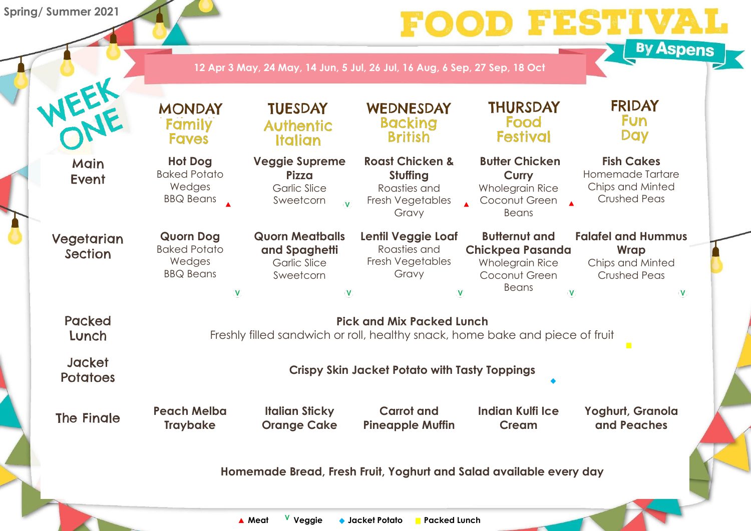



#### **Fish Cakes** Homemade Tartare Chips and Minted Crushed Peas

| IEEE                             | <b>MONDAY</b><br>Family<br><b>Faves</b>                                                                 | <b>TUESDAY</b><br><b>Authentic</b><br><b>Italian</b>                                                 | WEDNESDAY<br><b>Backing</b><br><b>British</b>                                       | <b>THURSDAY</b><br>Food<br><b>Festival</b>                                                                      |  |  |
|----------------------------------|---------------------------------------------------------------------------------------------------------|------------------------------------------------------------------------------------------------------|-------------------------------------------------------------------------------------|-----------------------------------------------------------------------------------------------------------------|--|--|
| Main<br>Event                    | <b>Hot Dog</b><br><b>Baked Potato</b><br>Wedges<br><b>BBQ Beans</b>                                     | <b>Veggie Supreme</b><br><b>Pizza</b><br><b>Garlic Slice</b><br>Sweetcorn<br>$\overline{\mathsf{V}}$ | <b>Roast Chicken &amp;</b><br>Stuffing<br>Roasties and<br>Fresh Vegetables<br>Gravy | <b>Butter Chicken</b><br><b>Curry</b><br><b>Wholegrain Rice</b><br>Coconut Green<br><b>Beans</b>                |  |  |
| Vegetarian<br><b>Section</b>     | <b>Quorn Dog</b><br><b>Baked Potato</b><br>Wedges<br><b>BBQ Beans</b>                                   | <b>Quorn Meatballs</b><br>and Spaghetti<br><b>Garlic Slice</b><br>Sweetcorn<br>V                     | Lentil Veggie Loaf<br>Roasties and<br><b>Fresh Vegetables</b><br>Gravy              | <b>Butternut and</b><br><b>Chickpea Pasanda</b><br><b>Wholegrain Rice</b><br>Coconut Green<br><b>Beans</b><br>V |  |  |
| <b>Packed</b><br>Lunch           | <b>Pick and Mix Packed Lunch</b><br>Freshly filled sandwich or roll, healthy snack, home bake and piece |                                                                                                      |                                                                                     |                                                                                                                 |  |  |
| <b>Jacket</b><br><b>Potatoes</b> | <b>Crispy Skin Jacket Potato with Tasty Toppings</b>                                                    |                                                                                                      |                                                                                     |                                                                                                                 |  |  |
| <b>The Fingle</b>                | <b>Peach Melba</b><br><b>Traybake</b>                                                                   | <b>Italian Sticky</b><br><b>Orange Cake</b>                                                          | <b>Carrot and</b><br><b>Pineapple Muffin</b>                                        | <b>Indian Kulfi Ice</b><br><b>Cream</b>                                                                         |  |  |
|                                  |                                                                                                         | Homemade Bread, Fresh Fruit, Yoghurt and Salad available every                                       |                                                                                     |                                                                                                                 |  |  |

## **Falafel and Hummus Wrap**

Chips and Minted Crushed Peas

 $\overline{\mathsf{V}}$ 

e of fruit

**Yoghurt, Granola and Peaches**

 $\mathcal{L}_{\mathcal{A}}$ 

**Homeworth Bready** 

**Spring/ Summer 2021**

**12 Apr 3 May, 24 May, 14 Jun, 5 Jul, 26 Jul, 16 Aug, 6 Sep, 27 Sep, 18 Oct**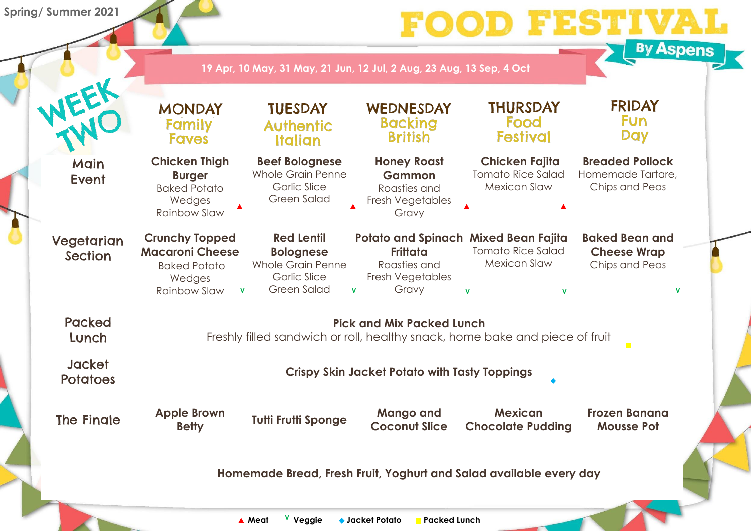



## **19 Apr, 10 May, 31 May, 21 Jun, 12 Jul, 2 Aug, 23 Aug, 13 Sep, 4 Oct**

**Spring/ Summer 2021**

# 1500

## **Breaded Pollock**

| FER                          | <b>MONDAY</b><br>Family<br><b>Faves</b>                                                                          | <b>TUESDAY</b><br><b>Authentic</b><br><b>Italian</b>                                                           | WEDNESDAY<br><b>Backing</b><br><b>British</b>                                                                               | <b>THURSDAY</b><br>Food<br><b>Festival</b>                               | <b>FRIDAY</b><br>Fun<br><b>Day</b>                            |  |  |  |
|------------------------------|------------------------------------------------------------------------------------------------------------------|----------------------------------------------------------------------------------------------------------------|-----------------------------------------------------------------------------------------------------------------------------|--------------------------------------------------------------------------|---------------------------------------------------------------|--|--|--|
| Main<br><b>Event</b>         | <b>Chicken Thigh</b><br><b>Burger</b><br><b>Baked Potato</b><br>Wedges<br><b>Rainbow Slaw</b>                    | <b>Beef Bolognese</b><br><b>Whole Grain Penne</b><br><b>Garlic Slice</b><br><b>Green Salad</b>                 | <b>Honey Roast</b><br><b>Gammon</b><br>Roasties and<br>Fresh Vegetables<br>Gravy                                            | <b>Chicken Fajita</b><br><b>Tomato Rice Salad</b><br><b>Mexican Slaw</b> | <b>Breaded Pollock</b><br>Homemade Tartare,<br>Chips and Peas |  |  |  |
| Vegetarian<br><b>Section</b> | <b>Crunchy Topped</b><br><b>Macaroni Cheese</b><br><b>Baked Potato</b><br>Wedges<br>Rainbow Slaw<br>$\mathbf{V}$ | <b>Red Lentil</b><br><b>Bolognese</b><br><b>Whole Grain Penne</b><br><b>Garlic Slice</b><br><b>Green Salad</b> | <b>Potato and Spinach Mixed Bean Fajita</b><br><b>Frittata</b><br>Roasties and<br>Fresh Vegetables<br>Gravy<br>$\mathbf{V}$ | <b>Tomato Rice Salad</b><br><b>Mexican Slaw</b><br>$\mathbf v$<br>V      | <b>Baked Bean and</b><br><b>Cheese Wrap</b><br>Chips and Peas |  |  |  |
| <b>Packed</b><br>Lunch       | <b>Pick and Mix Packed Lunch</b><br>Freshly filled sandwich or roll, healthy snack, home bake and piece of fruit |                                                                                                                |                                                                                                                             |                                                                          |                                                               |  |  |  |
| Jacket<br><b>Potatoes</b>    | <b>Crispy Skin Jacket Potato with Tasty Toppings</b>                                                             |                                                                                                                |                                                                                                                             |                                                                          |                                                               |  |  |  |
| <b>The Finale</b>            | <b>Apple Brown</b><br><b>Betty</b>                                                                               | <b>Tutti Frutti Sponge</b>                                                                                     | <b>Mango and</b><br><b>Coconut Slice</b>                                                                                    | <b>Mexican</b><br><b>Chocolate Pudding</b>                               | <b>Frozen Banana</b><br><b>Mousse Pot</b>                     |  |  |  |
|                              | Homemade Bread, Fresh Fruit, Yoghurt and Salad available every day                                               |                                                                                                                |                                                                                                                             |                                                                          |                                                               |  |  |  |